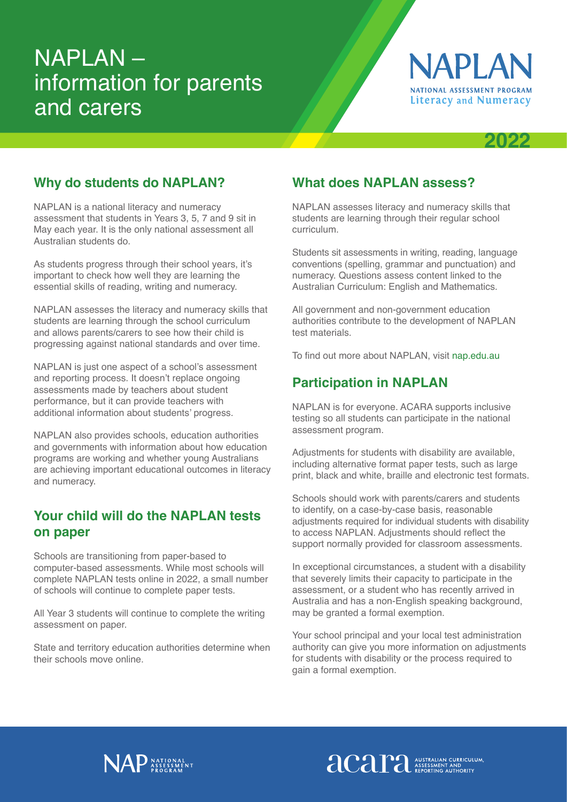# NAPLAN – information for parents and carers



# **2022**

#### **Why do students do NAPLAN?**

NAPLAN is a national literacy and numeracy assessment that students in Years 3, 5, 7 and 9 sit in May each year. It is the only national assessment all Australian students do.

As students progress through their school years, it's important to check how well they are learning the essential skills of reading, writing and numeracy.

NAPLAN assesses the literacy and numeracy skills that students are learning through the school curriculum and allows parents/carers to see how their child is progressing against national standards and over time.

NAPLAN is just one aspect of a school's assessment and reporting process. It doesn't replace ongoing assessments made by teachers about student performance, but it can provide teachers with additional information about students' progress.

NAPLAN also provides schools, education authorities and governments with information about how education programs are working and whether young Australians are achieving important educational outcomes in literacy and numeracy.

## **Your child will do the NAPLAN tests on paper**

Schools are transitioning from paper-based to computer-based assessments. While most schools will complete NAPLAN tests online in 2022, a small number of schools will continue to complete paper tests.

All Year 3 students will continue to complete the writing assessment on paper.

State and territory education authorities determine when their schools move online.

### **What does NAPLAN assess?**

NAPLAN assesses literacy and numeracy skills that students are learning through their regular school curriculum.

Students sit assessments in writing, reading, language conventions (spelling, grammar and punctuation) and numeracy. Questions assess content linked to the Australian Curriculum: English and Mathematics.

All government and non-government education authorities contribute to the development of NAPLAN test materials.

To find out more about NAPLAN, visit [nap.edu.au](https://nap.edu.au)

## **Participation in NAPLAN**

NAPLAN is for everyone. ACARA supports inclusive testing so all students can participate in the national assessment program.

Adjustments for students with disability are available, including alternative format paper tests, such as large print, black and white, braille and electronic test formats.

Schools should work with parents/carers and students to identify, on a case-by-case basis, reasonable adjustments required for individual students with disability to access NAPLAN. Adjustments should reflect the support normally provided for classroom assessments.

In exceptional circumstances, a student with a disability that severely limits their capacity to participate in the assessment, or a student who has recently arrived in Australia and has a non-English speaking background, may be granted a formal exemption.

Your school principal and your local test administration authority can give you more information on adjustments for students with disability or the process required to gain a formal exemption.